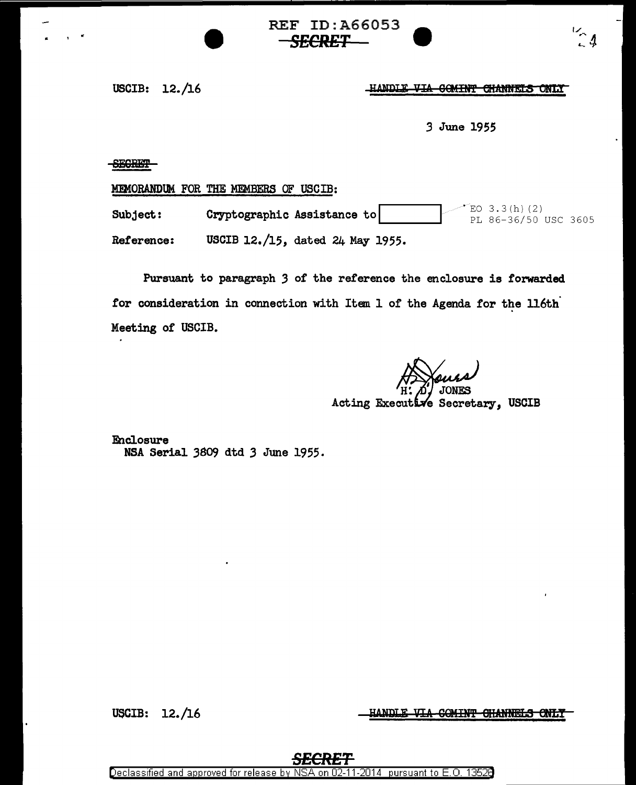**REF ID: A66053** *SECRET* •

USCIB: 12./16

## HANDLE VIA COMINT CHANNELS ONLY

 $\frac{1}{2}$ 

*3* June 1955

SB6m'

MEMORANDUM FOR THE MEMBERS OF USCIB:

**Subject: Cryptographic Assistance to 1... Analyzing Cryptographic Assistance to** 1 ...  $\frac{2}{PL}$  86-36/50 USC 3605 Reference: USCIB 12./15, dated 24 May 1955.

Pursuant to paragraph *3* of the reference the enclosure is forwarded for consideration in connection with Item 1 of the Agenda for the 116th Meeting of USCIB.

Acting Executive Secretary, USCIB

Enclosure NSA Serial 3809 dtd 3 June 1955.

HANDLE VIA COMINT CHANNELS ONLY

USCIB: 12./16

*SECRET* 

Declassified and approved for release by NSA on 02-11-2014 pursuant to E. 0. 1352B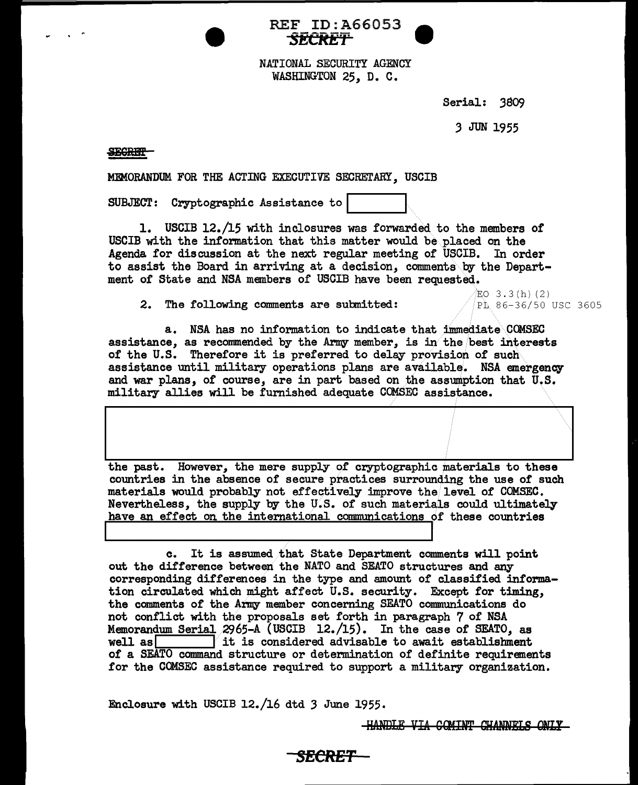



NATIONAL SECURITY AGENCY WASHINGTON 25, D. C.

Serial: 3809

*3* JUN 1955

## **SEGRET**

MEMORANDUM FOR THE ACTING EXECUTIVE SECRETARY, USCIB

SUBJECT: Cryptographic Assistance to

1. USCIB 12./15 with inclosures was forwarded to the members of USCIB with the information that this matter would be placed on the Agenda for discussion at the next regular meeting of USCIB. In order to assist the Board in arriving at a decision, comments by the Department of State and NSA members of USCIB have been requested.

**2.** The following comments are submitted:  $\sqrt{p}$ . 86-36/50 USC 3605

 $EO$  3.3 $(h)$  (2)

a. NSA has no information to indicate that immediate COMSEC assistance, as recommended by the Army member, is in the best interests of the U.S. Therefore it is preferred to delay provision of such assistance until military operations plans are available. NSA emergency and war plans, of course, are in part based on the assumption that U.S. military allies will be furnished adequate COMSEC assistance.

the past. However, the mere supply of cryptographic materials to these countries in the absence of secure practices surrounding the use of such materials would probably not effectively improve the level of COMSEC. Nevertheless, the supply by the U.S. of such materials could ultimately have an effect on the international communications of these countries

c. It is assumed that State Department comments will point out the difference between the NATO and SEATO structures and any corresponding differences in the type and amount of classified information circulated which might affect U.S. security. Except for timing, the comments of' the Army member concerning SEATO communications do not conflict with the proposals set forth in paragraph 7 of NSA Memorandum Serial  $2965-A$  (USCIB 12./15). In the case of SEATO, as well as  $\overline{ }$  it is considered advisable to await establishment  $\Box$  it is considered advisable to await establishment of a SEATO command structure or determination of definite requirements for the COMSEC assistance required to support a military organization.

*SECRET* 

Enclosure with USCIB 12./16 dtd *3* June 1955.

**HANDLE VIA COMINT CHANNELS ONLY**